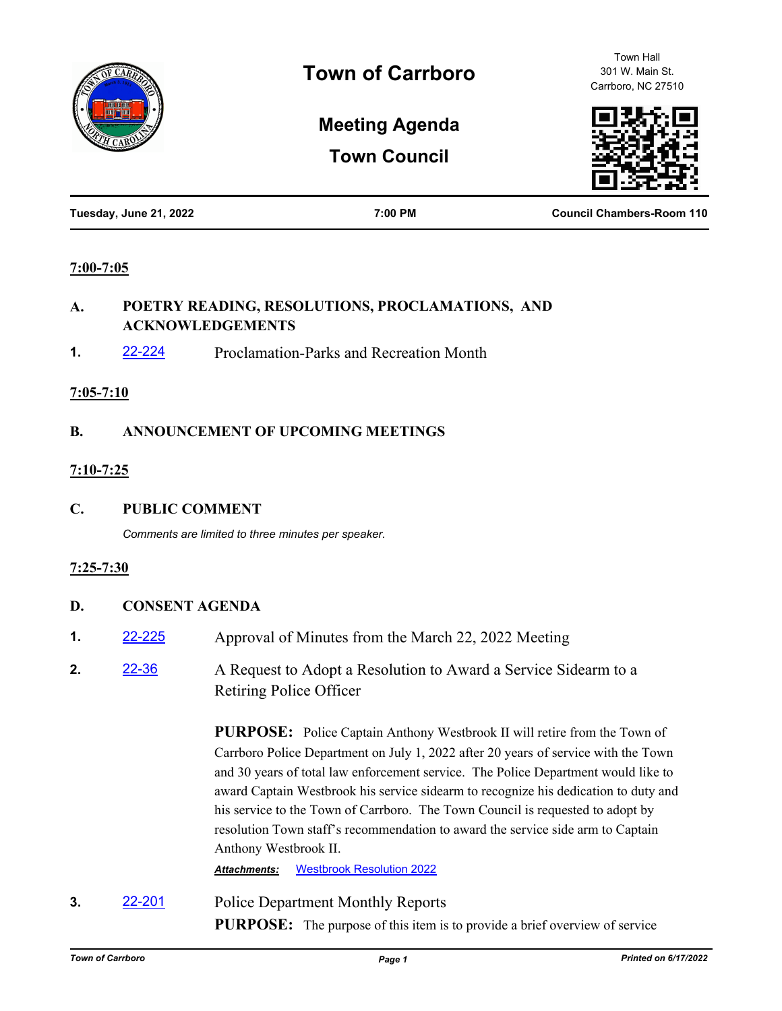

Town Hall 301 W. Main St. Carrboro, NC 27510

# **Meeting Agenda**

**Town Council**



| Tuesday, June 21, 2022 | 7:00 PM | <b>Council Chambers-Room 110</b> |
|------------------------|---------|----------------------------------|
|                        |         |                                  |

#### **7:00-7:05**

#### **A. POETRY READING, RESOLUTIONS, PROCLAMATIONS, AND ACKNOWLEDGEMENTS**

**1.** [22-224](http://carrboro.legistar.com/gateway.aspx?m=l&id=/matter.aspx?key=4837) Proclamation-Parks and Recreation Month

#### **7:05-7:10**

## **B. ANNOUNCEMENT OF UPCOMING MEETINGS**

## **7:10-7:25**

**C. PUBLIC COMMENT**

*Comments are limited to three minutes per speaker.*

## **7:25-7:30**

## **D. CONSENT AGENDA**

- **1.** [22-225](http://carrboro.legistar.com/gateway.aspx?m=l&id=/matter.aspx?key=4838) Approval of Minutes from the March 22, 2022 Meeting
- **2.** [22-36](http://carrboro.legistar.com/gateway.aspx?m=l&id=/matter.aspx?key=4649) A Request to Adopt a Resolution to Award a Service Sidearm to a Retiring Police Officer

**PURPOSE:** Police Captain Anthony Westbrook II will retire from the Town of Carrboro Police Department on July 1, 2022 after 20 years of service with the Town and 30 years of total law enforcement service. The Police Department would like to award Captain Westbrook his service sidearm to recognize his dedication to duty and his service to the Town of Carrboro. The Town Council is requested to adopt by resolution Town staff's recommendation to award the service side arm to Captain Anthony Westbrook II.

*Attachments:* [Westbrook Resolution 2022](http://carrboro.legistar.com/gateway.aspx?M=F&ID=ed937501-ca91-40cf-9706-aef7250b0c2a.docx)

**3. [22-201](http://carrboro.legistar.com/gateway.aspx?m=l&id=/matter.aspx?key=4814)** Police Department Monthly Reports

**PURPOSE:** The purpose of this item is to provide a brief overview of service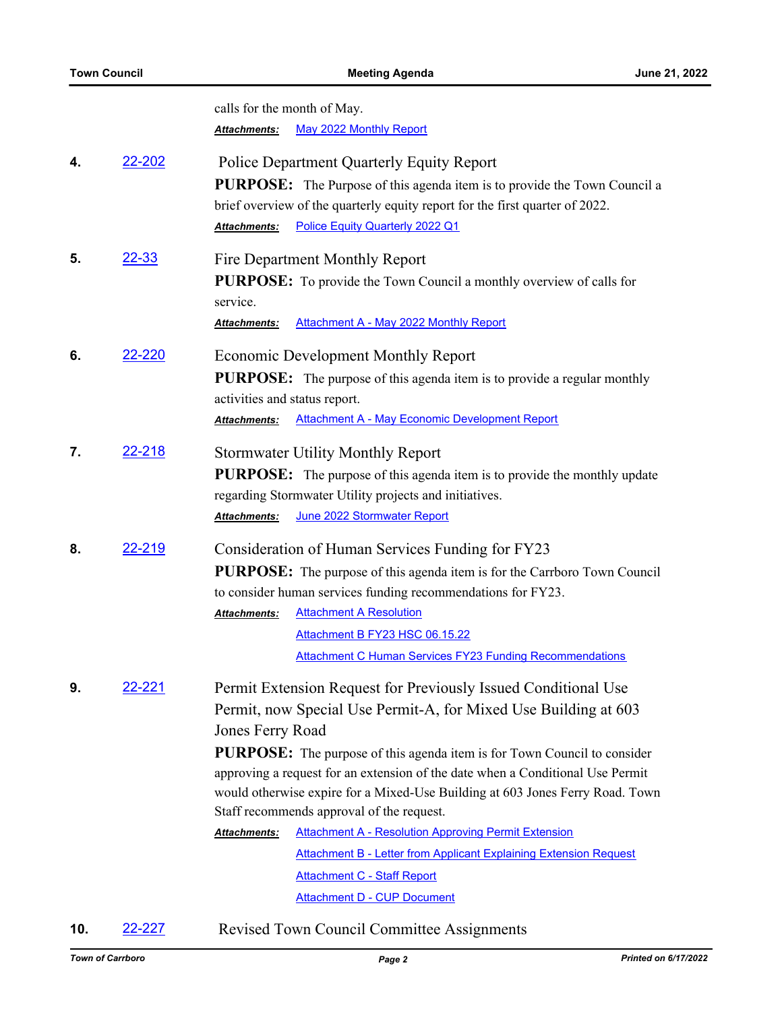|    |               | calls for the month of May.                                                                                                                                                                                   |
|----|---------------|---------------------------------------------------------------------------------------------------------------------------------------------------------------------------------------------------------------|
|    |               | May 2022 Monthly Report<br>Attachments:                                                                                                                                                                       |
| 4. | 22-202        | Police Department Quarterly Equity Report<br><b>PURPOSE:</b> The Purpose of this agenda item is to provide the Town Council a<br>brief overview of the quarterly equity report for the first quarter of 2022. |
|    |               | Police Equity Quarterly 2022 Q1<br>Attachments:                                                                                                                                                               |
| 5. | <u>22-33</u>  | Fire Department Monthly Report<br>PURPOSE: To provide the Town Council a monthly overview of calls for                                                                                                        |
|    |               | service.                                                                                                                                                                                                      |
|    |               | <b>Attachment A - May 2022 Monthly Report</b><br><u> Attachments:</u>                                                                                                                                         |
| 6. | 22-220        | <b>Economic Development Monthly Report</b>                                                                                                                                                                    |
|    |               | <b>PURPOSE:</b> The purpose of this agenda item is to provide a regular monthly                                                                                                                               |
|    |               | activities and status report.                                                                                                                                                                                 |
|    |               | <b>Attachment A - May Economic Development Report</b><br>Attachments:                                                                                                                                         |
| 7. | 22-218        | <b>Stormwater Utility Monthly Report</b>                                                                                                                                                                      |
|    |               | <b>PURPOSE:</b> The purpose of this agenda item is to provide the monthly update                                                                                                                              |
|    |               | regarding Stormwater Utility projects and initiatives.                                                                                                                                                        |
|    |               | June 2022 Stormwater Report<br>Attachments:                                                                                                                                                                   |
| 8. | <u>22-219</u> | Consideration of Human Services Funding for FY23                                                                                                                                                              |
|    |               | <b>PURPOSE:</b> The purpose of this agenda item is for the Carrboro Town Council                                                                                                                              |
|    |               | to consider human services funding recommendations for FY23.                                                                                                                                                  |
|    |               | <b>Attachment A Resolution</b><br>Attachments:                                                                                                                                                                |
|    |               | Attachment B FY23 HSC 06.15.22                                                                                                                                                                                |
|    |               | <b>Attachment C Human Services FY23 Funding Recommendations</b>                                                                                                                                               |
| 9. | 22-221        | Permit Extension Request for Previously Issued Conditional Use                                                                                                                                                |
|    |               | Permit, now Special Use Permit-A, for Mixed Use Building at 603                                                                                                                                               |
|    |               | Jones Ferry Road                                                                                                                                                                                              |
|    |               | <b>PURPOSE:</b> The purpose of this agenda item is for Town Council to consider                                                                                                                               |
|    |               | approving a request for an extension of the date when a Conditional Use Permit                                                                                                                                |
|    |               | would otherwise expire for a Mixed-Use Building at 603 Jones Ferry Road. Town                                                                                                                                 |
|    |               | Staff recommends approval of the request.                                                                                                                                                                     |
|    |               | <b>Attachment A - Resolution Approving Permit Extension</b><br>Attachments:                                                                                                                                   |
|    |               | <b>Attachment B - Letter from Applicant Explaining Extension Request</b>                                                                                                                                      |
|    |               | <b>Attachment C - Staff Report</b>                                                                                                                                                                            |
|    |               | <b>Attachment D - CUP Document</b>                                                                                                                                                                            |

**10.** [22-227](http://carrboro.legistar.com/gateway.aspx?m=l&id=/matter.aspx?key=4840) Revised Town Council Committee Assignments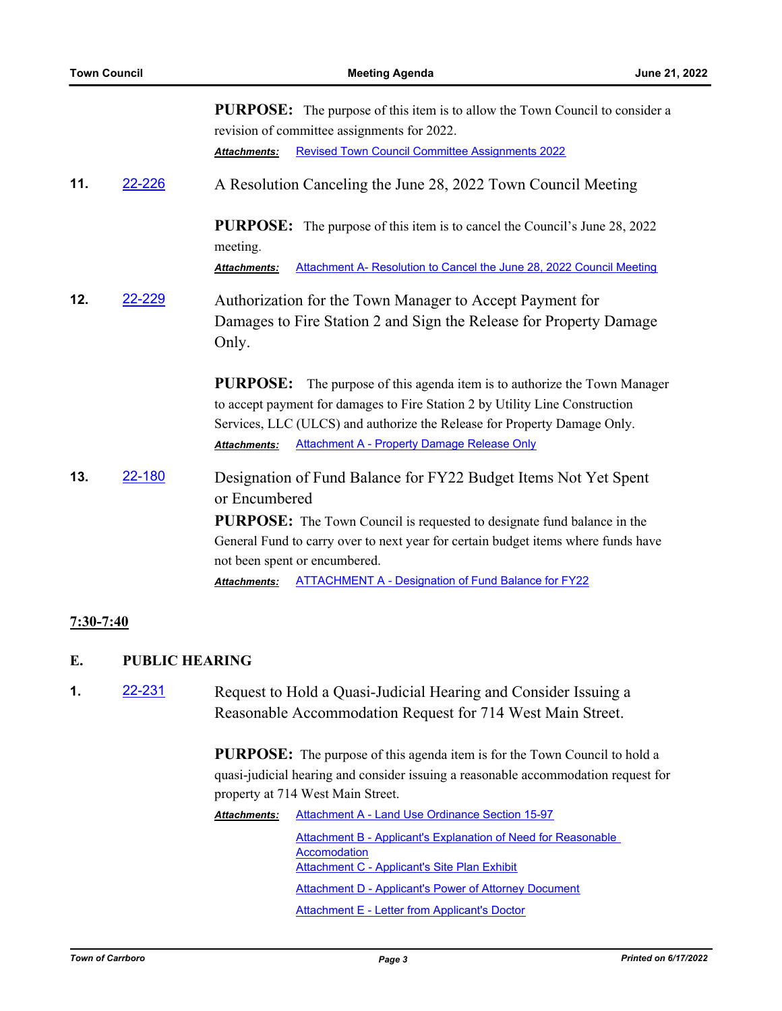| A Resolution Canceling the June 28, 2022 Town Council Meeting                                                                                                                                                                                                                                        |
|------------------------------------------------------------------------------------------------------------------------------------------------------------------------------------------------------------------------------------------------------------------------------------------------------|
| <b>PURPOSE:</b> The purpose of this item is to cancel the Council's June 28, 2022                                                                                                                                                                                                                    |
| Attachment A- Resolution to Cancel the June 28, 2022 Council Meeting                                                                                                                                                                                                                                 |
| Authorization for the Town Manager to Accept Payment for<br>Damages to Fire Station 2 and Sign the Release for Property Damage                                                                                                                                                                       |
| The purpose of this agenda item is to authorize the Town Manager<br>to accept payment for damages to Fire Station 2 by Utility Line Construction<br>Services, LLC (ULCS) and authorize the Release for Property Damage Only.                                                                         |
| Designation of Fund Balance for FY22 Budget Items Not Yet Spent<br><b>PURPOSE:</b> The Town Council is requested to designate fund balance in the<br>General Fund to carry over to next year for certain budget items where funds have<br><b>ATTACHMENT A - Designation of Fund Balance for FY22</b> |
|                                                                                                                                                                                                                                                                                                      |

## **7:30-7:40**

#### **E. PUBLIC HEARING**

**1.** [22-231](http://carrboro.legistar.com/gateway.aspx?m=l&id=/matter.aspx?key=4844) Request to Hold a Quasi-Judicial Hearing and Consider Issuing a Reasonable Accommodation Request for 714 West Main Street.

> **PURPOSE:** The purpose of this agenda item is for the Town Council to hold a quasi-judicial hearing and consider issuing a reasonable accommodation request for property at 714 West Main Street.

| <b>Attachments:</b> | Attachment A - Land Use Ordinance Section 15-97               |  |
|---------------------|---------------------------------------------------------------|--|
|                     | Attachment B - Applicant's Explanation of Need for Reasonable |  |
|                     | Accomodation                                                  |  |
|                     | Attachment C - Applicant's Site Plan Exhibit                  |  |
|                     | Attachment D - Applicant's Power of Attorney Document         |  |
|                     | Attachment E - Letter from Applicant's Doctor                 |  |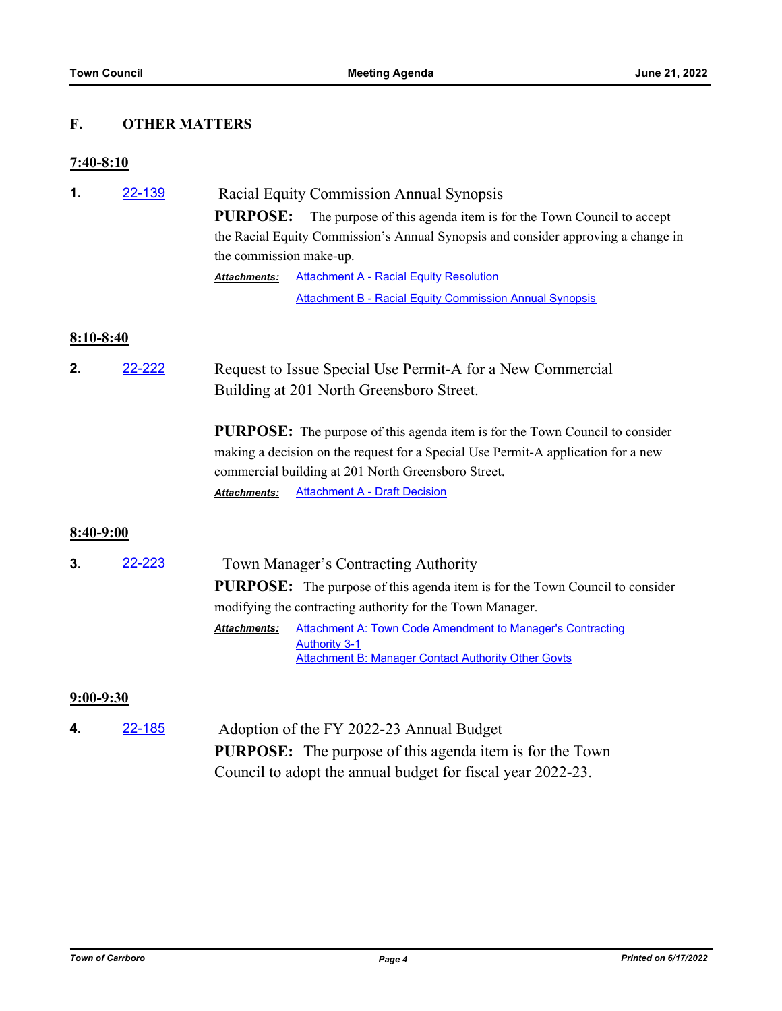## **F. OTHER MATTERS**

#### **7:40-8:10**

| 1.          | 22-139 | Racial Equity Commission Annual Synopsis                                                                                                 |
|-------------|--------|------------------------------------------------------------------------------------------------------------------------------------------|
|             |        | <b>PURPOSE:</b><br>The purpose of this agenda item is for the Town Council to accept                                                     |
|             |        | the Racial Equity Commission's Annual Synopsis and consider approving a change in                                                        |
|             |        | the commission make-up.                                                                                                                  |
|             |        | <b>Attachment A - Racial Equity Resolution</b><br>Attachments:                                                                           |
|             |        | <b>Attachment B - Racial Equity Commission Annual Synopsis</b>                                                                           |
| $8:10-8:40$ |        |                                                                                                                                          |
| 2.          | 22-222 | Request to Issue Special Use Permit-A for a New Commercial                                                                               |
|             |        | Building at 201 North Greensboro Street.                                                                                                 |
|             |        | <b>PURPOSE:</b> The purpose of this agenda item is for the Town Council to consider                                                      |
|             |        | making a decision on the request for a Special Use Permit-A application for a new<br>commercial building at 201 North Greensboro Street. |
|             |        | <b>Attachment A - Draft Decision</b><br>Attachments:                                                                                     |
| 8:40-9:00   |        |                                                                                                                                          |
| 3.          | 22-223 | Town Manager's Contracting Authority                                                                                                     |
|             |        | <b>PURPOSE:</b> The purpose of this agenda item is for the Town Council to consider                                                      |
|             |        | modifying the contracting authority for the Town Manager.                                                                                |
|             |        | <b>Attachment A: Town Code Amendment to Manager's Contracting</b><br>Attachments:<br><b>Authority 3-1</b>                                |
|             |        | <b>Attachment B: Manager Contact Authority Other Govts</b>                                                                               |
| $9:00-9:30$ |        |                                                                                                                                          |
| 4.          | 22-185 | Adoption of the FY 2022-23 Annual Budget                                                                                                 |

**PURPOSE:** The purpose of this agenda item is for the Town Council to adopt the annual budget for fiscal year 2022-23.